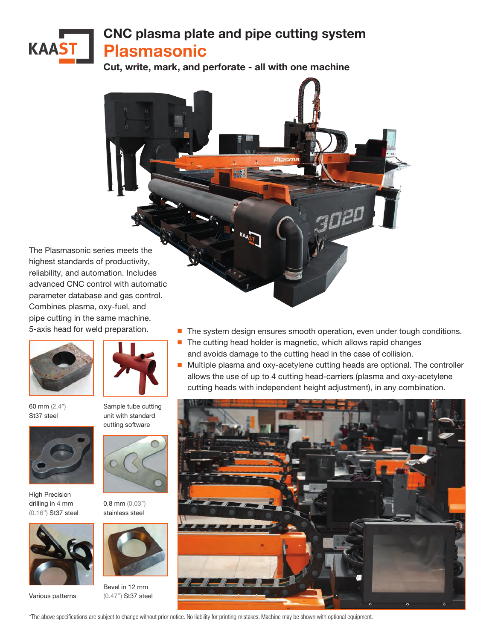## CNC plasma plate and pipe cutting system **KAAST** Plasmasonic

Cut, write, mark, and perforate - all with one machine

The Plasmasonic series meets the highest standards of productivity, reliability, and automation. Includes advanced CNC control with automatic parameter database and gas control. Combines plasma, oxy-fuel, and pipe cutting in the same machine. 5-axis head for weld preparation.



60 mm (2.4") St37 steel



High Precision drilling in 4 mm (0.16") St37 steel



Various patterns



Sample tube cutting unit with standard cutting software



0.8 mm (0.03") stainless steel



Bevel in 12 mm (0.47") St37 steel

- The system design ensures smooth operation, even under tough conditions.
- The cutting head holder is magnetic, which allows rapid changes and avoids damage to the cutting head in the case of collision.
- Multiple plasma and oxy-acetylene cutting heads are optional. The controller allows the use of up to 4 cutting head-carriers (plasma and oxy-acetylene cutting heads with independent height adjustment), in any combination.



\*The above specifications are subject to change without prior notice. No liability for printing mistakes. Machine may be shown with optional equipment.